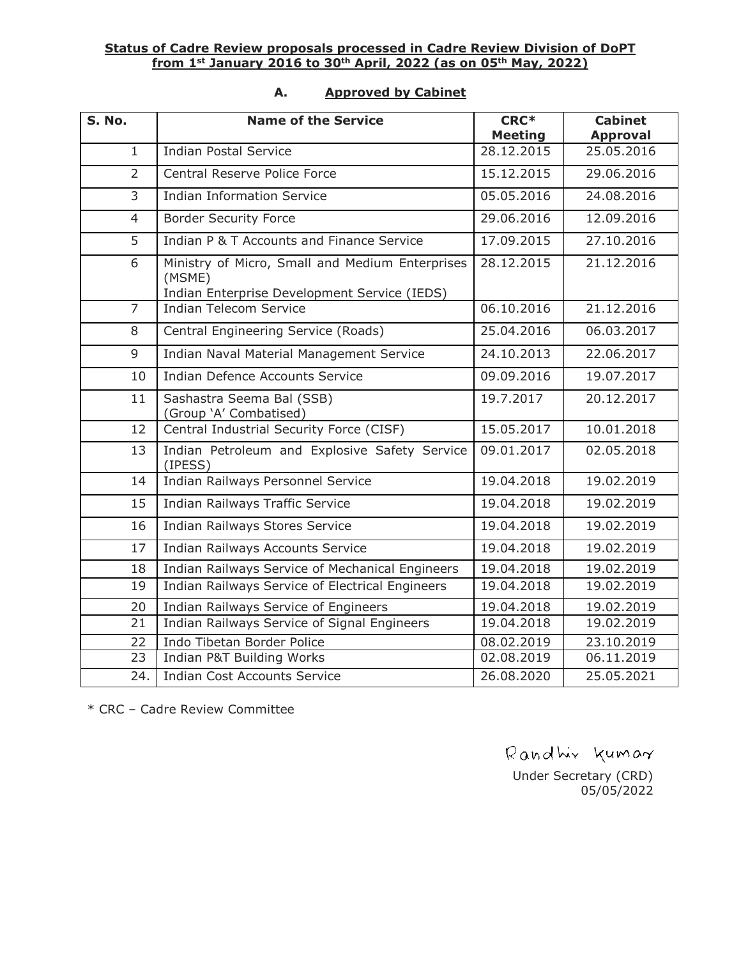## **Status of Cadre Review proposals processed in Cadre Review Division of DoPT from 1st January 2016 to 30th April, 2022 (as on 05th May, 2022)**

| <b>S. No.</b>  | <b>Name of the Service</b>                                                                                | CRC <sup>*</sup><br><b>Meeting</b> | <b>Cabinet</b><br><b>Approval</b> |
|----------------|-----------------------------------------------------------------------------------------------------------|------------------------------------|-----------------------------------|
| $\mathbf{1}$   | <b>Indian Postal Service</b>                                                                              | 28.12.2015                         | 25.05.2016                        |
| $\overline{2}$ | Central Reserve Police Force                                                                              | 15.12.2015                         | 29.06.2016                        |
| 3              | <b>Indian Information Service</b>                                                                         | 05.05.2016                         | 24.08.2016                        |
| $\overline{4}$ | <b>Border Security Force</b>                                                                              | 29.06.2016                         | 12.09.2016                        |
| 5              | Indian P & T Accounts and Finance Service                                                                 | 17.09.2015                         | 27.10.2016                        |
| 6              | Ministry of Micro, Small and Medium Enterprises<br>(MSME)<br>Indian Enterprise Development Service (IEDS) | 28.12.2015                         | 21.12.2016                        |
| $\overline{7}$ | <b>Indian Telecom Service</b>                                                                             | 06.10.2016                         | 21.12.2016                        |
| 8              | Central Engineering Service (Roads)                                                                       | 25.04.2016                         | 06.03.2017                        |
| 9              | Indian Naval Material Management Service                                                                  | 24.10.2013                         | 22.06.2017                        |
| 10             | <b>Indian Defence Accounts Service</b>                                                                    | 09.09.2016                         | 19.07.2017                        |
| 11             | Sashastra Seema Bal (SSB)<br>(Group 'A' Combatised)                                                       | 19.7.2017                          | 20.12.2017                        |
| 12             | Central Industrial Security Force (CISF)                                                                  | 15.05.2017                         | 10.01.2018                        |
| 13             | Indian Petroleum and Explosive Safety Service<br>(IPESS)                                                  | 09.01.2017                         | 02.05.2018                        |
| 14             | Indian Railways Personnel Service                                                                         | 19.04.2018                         | 19.02.2019                        |
| 15             | Indian Railways Traffic Service                                                                           | 19.04.2018                         | 19.02.2019                        |
| 16             | Indian Railways Stores Service                                                                            | 19.04.2018                         | 19.02.2019                        |
| 17             | <b>Indian Railways Accounts Service</b>                                                                   | 19.04.2018                         | 19.02.2019                        |
| 18             | Indian Railways Service of Mechanical Engineers                                                           | 19.04.2018                         | 19.02.2019                        |
| 19             | Indian Railways Service of Electrical Engineers                                                           | 19.04.2018                         | 19.02.2019                        |
| 20             | Indian Railways Service of Engineers                                                                      | 19.04.2018                         | 19.02.2019                        |
| 21             | Indian Railways Service of Signal Engineers                                                               | 19.04.2018                         | 19.02.2019                        |
| 22             | Indo Tibetan Border Police                                                                                | 08.02.2019                         | 23.10.2019                        |
| 23             | Indian P&T Building Works                                                                                 | 02.08.2019                         | 06.11.2019                        |
| 24.            | <b>Indian Cost Accounts Service</b>                                                                       | 26.08.2020                         | 25.05.2021                        |

## **A. Approved by Cabinet**

\* CRC – Cadre Review Committee

Randhir Kumar Under Secretary (CRD) 05/05/2022